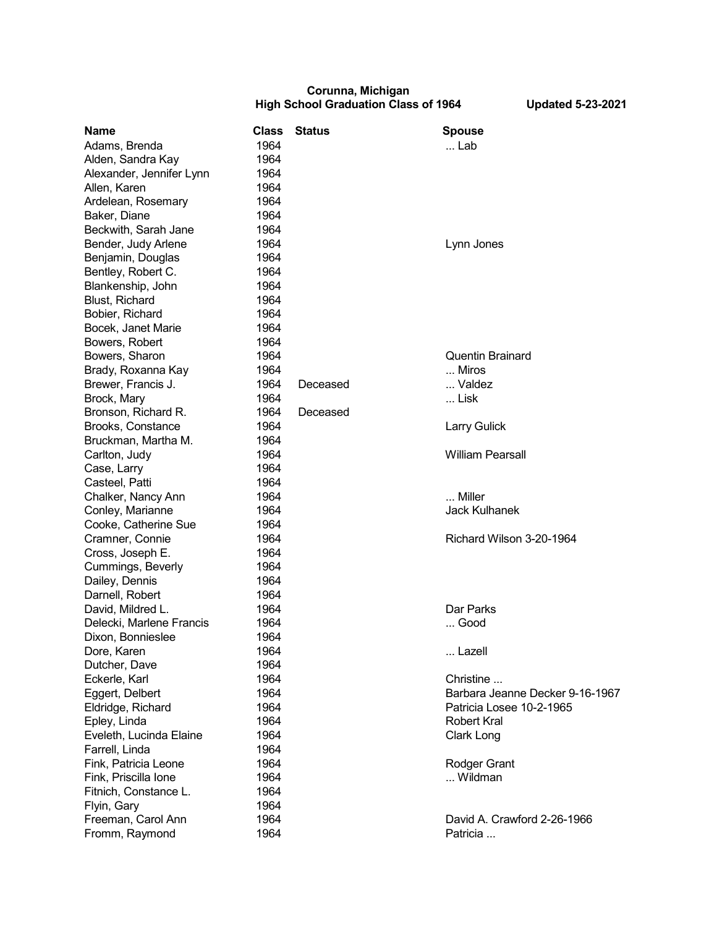## **Corunna, Michigan High School Graduation Class of 1964 Updated 5-23-2021**

| <b>Name</b>              | <b>Class</b> | <b>Status</b> | <b>Spouse</b>                   |
|--------------------------|--------------|---------------|---------------------------------|
| Adams, Brenda            | 1964         |               | Lab                             |
| Alden, Sandra Kay        | 1964         |               |                                 |
| Alexander, Jennifer Lynn | 1964         |               |                                 |
| Allen, Karen             | 1964         |               |                                 |
| Ardelean, Rosemary       | 1964         |               |                                 |
| Baker, Diane             | 1964         |               |                                 |
| Beckwith, Sarah Jane     | 1964         |               |                                 |
| Bender, Judy Arlene      | 1964         |               | Lynn Jones                      |
| Benjamin, Douglas        | 1964         |               |                                 |
| Bentley, Robert C.       | 1964         |               |                                 |
| Blankenship, John        | 1964         |               |                                 |
| <b>Blust, Richard</b>    | 1964         |               |                                 |
| Bobier, Richard          | 1964         |               |                                 |
| Bocek, Janet Marie       | 1964         |               |                                 |
| Bowers, Robert           | 1964         |               |                                 |
| Bowers, Sharon           | 1964         |               | <b>Quentin Brainard</b>         |
| Brady, Roxanna Kay       | 1964         |               | Miros                           |
| Brewer, Francis J.       | 1964         | Deceased      | Valdez                          |
| Brock, Mary              | 1964         |               | Lisk                            |
| Bronson, Richard R.      | 1964         | Deceased      |                                 |
| Brooks, Constance        | 1964         |               | <b>Larry Gulick</b>             |
| Bruckman, Martha M.      | 1964         |               |                                 |
| Carlton, Judy            | 1964         |               | <b>William Pearsall</b>         |
| Case, Larry              | 1964         |               |                                 |
| Casteel, Patti           | 1964         |               |                                 |
| Chalker, Nancy Ann       | 1964         |               | Miller                          |
| Conley, Marianne         | 1964         |               | <b>Jack Kulhanek</b>            |
| Cooke, Catherine Sue     | 1964         |               |                                 |
| Cramner, Connie          | 1964         |               | Richard Wilson 3-20-1964        |
| Cross, Joseph E.         | 1964         |               |                                 |
|                          | 1964         |               |                                 |
| Cummings, Beverly        | 1964         |               |                                 |
| Dailey, Dennis           |              |               |                                 |
| Darnell, Robert          | 1964         |               |                                 |
| David, Mildred L.        | 1964         |               | Dar Parks                       |
| Delecki, Marlene Francis | 1964         |               | Good                            |
| Dixon, Bonnieslee        | 1964         |               |                                 |
| Dore, Karen              | 1964         |               | Lazell                          |
| Dutcher, Dave            | 1964         |               |                                 |
| Eckerle, Karl            | 1964         |               | Christine                       |
| Eggert, Delbert          | 1964         |               | Barbara Jeanne Decker 9-16-1967 |
| Eldridge, Richard        | 1964         |               | Patricia Losee 10-2-1965        |
| Epley, Linda             | 1964         |               | <b>Robert Kral</b>              |
| Eveleth, Lucinda Elaine  | 1964         |               | Clark Long                      |
| Farrell, Linda           | 1964         |               |                                 |
| Fink, Patricia Leone     | 1964         |               | Rodger Grant                    |
| Fink, Priscilla Ione     | 1964         |               | Wildman                         |
| Fitnich, Constance L.    | 1964         |               |                                 |
| Flyin, Gary              | 1964         |               |                                 |
| Freeman, Carol Ann       | 1964         |               | David A. Crawford 2-26-1966     |
| Fromm, Raymond           | 1964         |               | Patricia                        |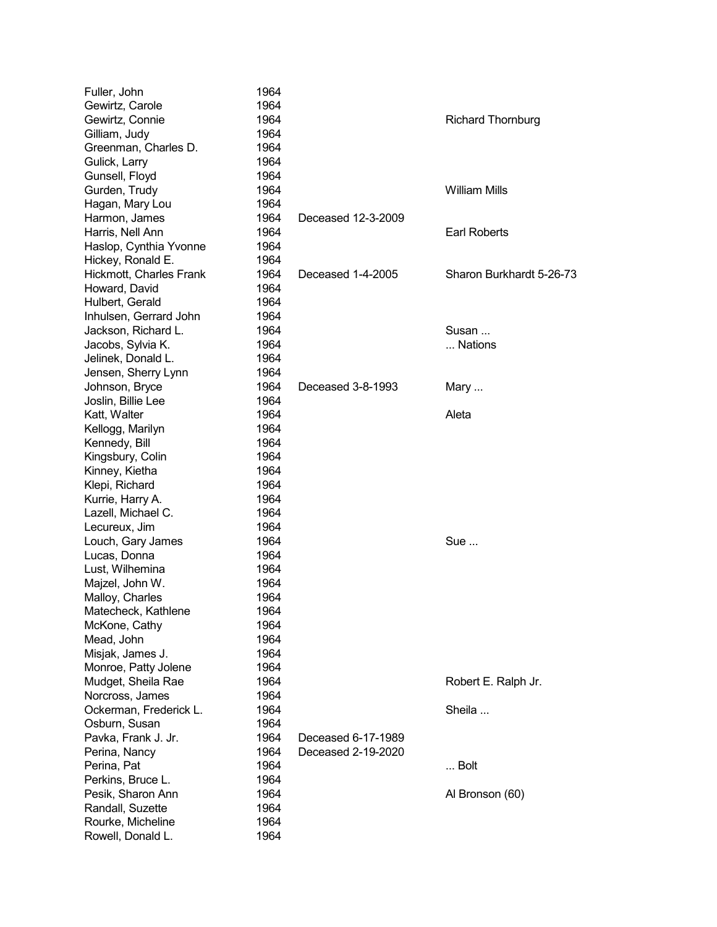| Fuller, John            | 1964 |                    |                          |
|-------------------------|------|--------------------|--------------------------|
| Gewirtz, Carole         | 1964 |                    |                          |
| Gewirtz, Connie         | 1964 |                    | <b>Richard Thornburg</b> |
| Gilliam, Judy           | 1964 |                    |                          |
| Greenman, Charles D.    | 1964 |                    |                          |
| Gulick, Larry           | 1964 |                    |                          |
| Gunsell, Floyd          | 1964 |                    |                          |
| Gurden, Trudy           | 1964 |                    | <b>William Mills</b>     |
| Hagan, Mary Lou         | 1964 |                    |                          |
| Harmon, James           | 1964 | Deceased 12-3-2009 |                          |
| Harris, Nell Ann        | 1964 |                    | <b>Earl Roberts</b>      |
| Haslop, Cynthia Yvonne  | 1964 |                    |                          |
| Hickey, Ronald E.       | 1964 |                    |                          |
| Hickmott, Charles Frank | 1964 | Deceased 1-4-2005  | Sharon Burkhardt 5-26-73 |
| Howard, David           | 1964 |                    |                          |
| Hulbert, Gerald         | 1964 |                    |                          |
| Inhulsen, Gerrard John  | 1964 |                    |                          |
| Jackson, Richard L.     | 1964 |                    | Susan                    |
| Jacobs, Sylvia K.       | 1964 |                    | Nations                  |
| Jelinek, Donald L.      | 1964 |                    |                          |
| Jensen, Sherry Lynn     | 1964 |                    |                          |
| Johnson, Bryce          | 1964 | Deceased 3-8-1993  | Mary                     |
| Joslin, Billie Lee      | 1964 |                    |                          |
| Katt, Walter            | 1964 |                    | Aleta                    |
| Kellogg, Marilyn        | 1964 |                    |                          |
| Kennedy, Bill           | 1964 |                    |                          |
| Kingsbury, Colin        | 1964 |                    |                          |
| Kinney, Kietha          | 1964 |                    |                          |
| Klepi, Richard          | 1964 |                    |                          |
| Kurrie, Harry A.        | 1964 |                    |                          |
| Lazell, Michael C.      | 1964 |                    |                          |
| Lecureux, Jim           | 1964 |                    |                          |
| Louch, Gary James       | 1964 |                    | Sue                      |
| Lucas, Donna            | 1964 |                    |                          |
| Lust, Wilhemina         | 1964 |                    |                          |
| Majzel, John W.         | 1964 |                    |                          |
| Malloy, Charles         | 1964 |                    |                          |
| Matecheck, Kathlene     | 1964 |                    |                          |
| McKone, Cathy           | 1964 |                    |                          |
| Mead, John              | 1964 |                    |                          |
| Misjak, James J.        | 1964 |                    |                          |
| Monroe, Patty Jolene    | 1964 |                    |                          |
| Mudget, Sheila Rae      | 1964 |                    |                          |
|                         | 1964 |                    | Robert E. Ralph Jr.      |
| Norcross, James         | 1964 |                    | Sheila                   |
| Ockerman, Frederick L.  | 1964 |                    |                          |
| Osburn, Susan           | 1964 |                    |                          |
| Pavka, Frank J. Jr.     |      | Deceased 6-17-1989 |                          |
| Perina, Nancy           | 1964 | Deceased 2-19-2020 |                          |
| Perina, Pat             | 1964 |                    | Bolt                     |
| Perkins, Bruce L.       | 1964 |                    |                          |
| Pesik, Sharon Ann       | 1964 |                    | Al Bronson (60)          |
| Randall, Suzette        | 1964 |                    |                          |
| Rourke, Micheline       | 1964 |                    |                          |
| Rowell, Donald L.       | 1964 |                    |                          |